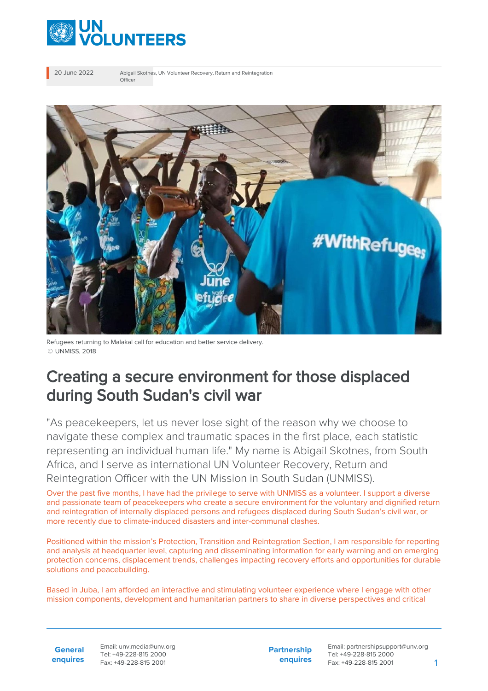

20 June 2022 Abigail Skotnes, UN Volunteer Recovery, Return and Reintegration Officer



Refugees returning to Malakal call for education and better service delivery. © UNMISS, 2018

## Creating a secure environment for those displaced during South Sudan's civil war

"As peacekeepers, let us never lose sight of the reason why we choose to navigate these complex and traumatic spaces in the first place, each statistic representing an individual human life." My name is Abigail Skotnes, from South Africa, and I serve as international UN Volunteer Recovery, Return and Reintegration Officer with the UN Mission in South Sudan (UNMISS).

Over the past five months, I have had the privilege to serve with UNMISS as a volunteer. I support a diverse and passionate team of peacekeepers who create a secure environment for the voluntary and dignified return and reintegration of internally displaced persons and refugees displaced during South Sudan's civil war, or more recently due to climate-induced disasters and inter-communal clashes.

Positioned within the mission's Protection, Transition and Reintegration Section, I am responsible for reporting and analysis at headquarter level, capturing and disseminating information for early warning and on emerging protection concerns, displacement trends, challenges impacting recovery efforts and opportunities for durable solutions and peacebuilding.

Based in Juba, I am afforded an interactive and stimulating volunteer experience where I engage with other mission components, development and humanitarian partners to share in diverse perspectives and critical

**General enquires** Email: unv.media@unv.org Tel: +49-228-815 2000 Fax: +49-228-815 2001

**Partnership enquires**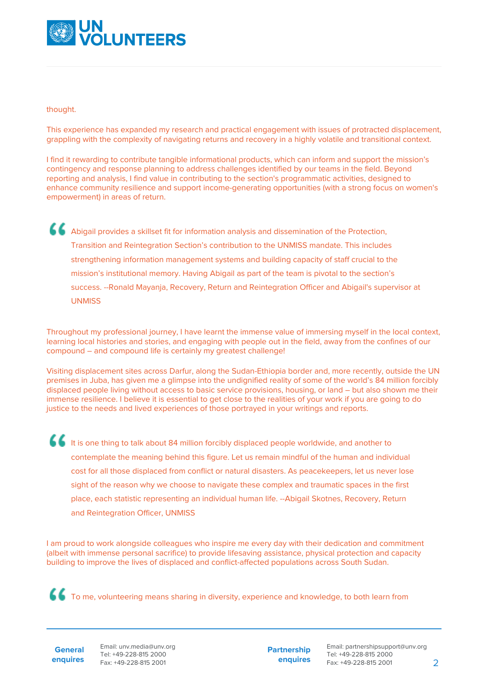

## thought.

This experience has expanded my research and practical engagement with issues of protracted displacement, grappling with the complexity of navigating returns and recovery in a highly volatile and transitional context.

I find it rewarding to contribute tangible informational products, which can inform and support the mission's contingency and response planning to address challenges identified by our teams in the field. Beyond reporting and analysis, I find value in contributing to the section's programmatic activities, designed to enhance community resilience and support income-generating opportunities (with a strong focus on women's empowerment) in areas of return.

Abigail provides a skillset fit for information analysis and dissemination of the Protection, Transition and Reintegration Section's contribution to the UNMISS mandate. This includes strengthening information management systems and building capacity of staff crucial to the mission's institutional memory. Having Abigail as part of the team is pivotal to the section's success. --Ronald Mayanja, Recovery, Return and Reintegration Officer and Abigail's supervisor at UNMISS

Throughout my professional journey, I have learnt the immense value of immersing myself in the local context, learning local histories and stories, and engaging with people out in the field, away from the confines of our compound – and compound life is certainly my greatest challenge!

Visiting displacement sites across Darfur, along the Sudan-Ethiopia border and, more recently, outside the UN premises in Juba, has given me a glimpse into the undignified reality of some of the world's 84 million forcibly displaced people living without access to basic service provisions, housing, or land – but also shown me their immense resilience. I believe it is essential to get close to the realities of your work if you are going to do justice to the needs and lived experiences of those portrayed in your writings and reports.

It is one thing to talk about 84 million forcibly displaced people worldwide, and another to contemplate the meaning behind this figure. Let us remain mindful of the human and individual cost for all those displaced from conflict or natural disasters. As peacekeepers, let us never lose sight of the reason why we choose to navigate these complex and traumatic spaces in the first place, each statistic representing an individual human life. --Abigail Skotnes, Recovery, Return and Reintegration Officer, UNMISS

I am proud to work alongside colleagues who inspire me every day with their dedication and commitment (albeit with immense personal sacrifice) to provide lifesaving assistance, physical protection and capacity building to improve the lives of displaced and conflict-affected populations across South Sudan.

To me, volunteering means sharing in diversity, experience and knowledge, to both learn from

**General enquires** Email: unv.media@unv.org Tel: +49-228-815 2000 Fax: +49-228-815 2001

**Partnership enquires**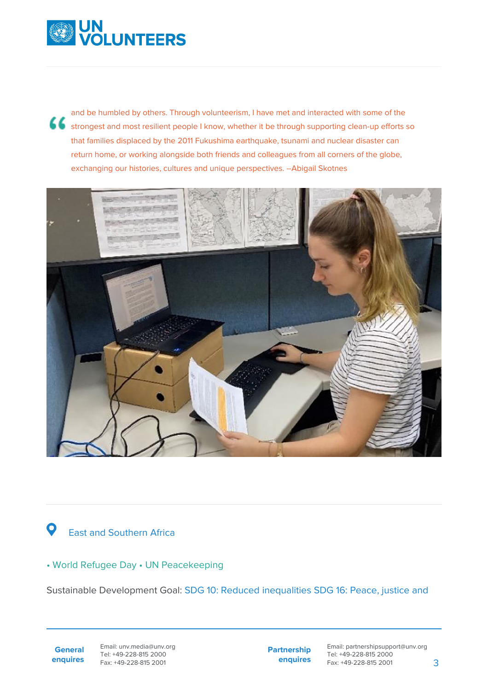

and be humbled by others. Through volunteerism, I have met and interacted with some of the strongest and most resilient people I know, whether it be through supporting clean-up efforts so that families displaced by the 2011 Fukushima earthquake, tsunami and nuclear disaster can return home, or working alongside both friends and colleagues from all corners of the globe, exchanging our histories, cultures and unique perspectives. --Abigail Skotnes



## $\bullet$ East and Southern Africa

## • World Refugee Day • UN Peacekeeping

Sustainable Development Goal: SDG 10: Reduced inequalities SDG 16: Peace, justice and

**General enquires** Email: unv.media@unv.org Tel: +49-228-815 2000 Fax: +49-228-815 2001

**Partnership enquires**